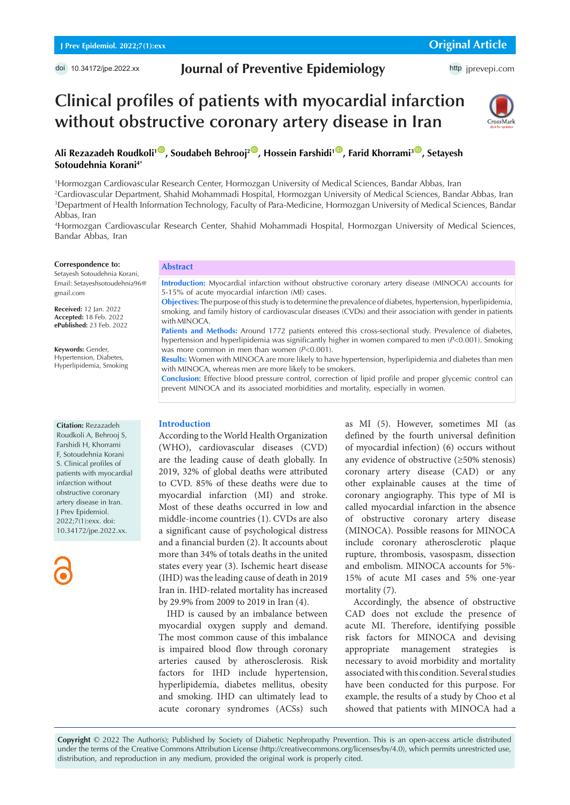# **Journal of Preventive Epidemiology**

# **Clinical profiles of patients with myocardial infarction without obstructive coronary artery disease in Iran**



Ali Rezazadeh Roudkoli<sup>1</sup><sup>®</sup>, Soudabeh Behrooj<sup>2<sup>®</sup>, Hossein Farshidi<sup>1®</sup>, Farid Khorrami<sup>3®</sup>, Setayesh</sup> **Sotoudehnia Korani4\***

1 Hormozgan Cardiovascular Research Center, Hormozgan University of Medical Sciences, Bandar Abbas, Iran

2 Cardiovascular Department, Shahid Mohammadi Hospital, Hormozgan University of Medical Sciences, Bandar Abbas, Iran 3 Department of Health Information Technology, Faculty of Para-Medicine, Hormozgan University of Medical Sciences, Bandar Abbas, Iran

4 Hormozgan Cardiovascular Research Center, Shahid Mohammadi Hospital, Hormozgan University of Medical Sciences, Bandar Abbas, Iran

#### **Correspondence to:**

Setayesh Sotoudehnia Korani, Email: Setayeshsotoudehnia96@ gmail.com

**Received:** 12 Jan. 2022 **Accepted:** 18 Feb. 2022 **ePublished:** 23 Feb. 2022

**Keywords:** Gender, Hypertension, Diabetes, Hyperlipidemia, Smoking

# **Abstract**

**Introduction:** Myocardial infarction without obstructive coronary artery disease (MINOCA) accounts for 5-15% of acute myocardial infarction (MI) cases.

**Objectives:** The purpose of this study is to determine the prevalence of diabetes, hypertension, hyperlipidemia, smoking, and family history of cardiovascular diseases (CVDs) and their association with gender in patients with MINOCA.

Patients and Methods: Around 1772 patients entered this cross-sectional study. Prevalence of diabetes, hypertension and hyperlipidemia was significantly higher in women compared to men (*P*<0.001). Smoking was more common in men than women (*P*<0.001).

**Results:** Women with MINOCA are more likely to have hypertension, hyperlipidemia and diabetes than men with MINOCA, whereas men are more likely to be smokers.

**Conclusion:** Effective blood pressure control, correction of lipid profile and proper glycemic control can prevent MINOCA and its associated morbidities and mortality, especially in women.

#### **Citation:** Rezazadeh

Roudkoli A, Behrooj S, Farshidi H, Khorrami F, Sotoudehnia Korani S. Clinical profiles of patients with myocardial infarction without obstructive coronary artery disease in Iran. J Prev Epidemiol. 2022;7(1):exx. doi: 10.34172/jpe.2022.xx.

# **Introduction**

According to the World Health Organization (WHO), cardiovascular diseases (CVD) are the leading cause of death globally. In 2019, 32% of global deaths were attributed to CVD. 85% of these deaths were due to myocardial infarction (MI) and stroke. Most of these deaths occurred in low and middle-income countries (1). CVDs are also a significant cause of psychological distress and a financial burden (2). It accounts about more than 34% of totals deaths in the united states every year (3). Ischemic heart disease (IHD) was the leading cause of death in 2019 Iran in. IHD-related mortality has increased by 29.9% from 2009 to 2019 in Iran (4).

IHD is caused by an imbalance between myocardial oxygen supply and demand. The most common cause of this imbalance is impaired blood flow through coronary arteries caused by atherosclerosis. Risk factors for IHD include hypertension, hyperlipidemia, diabetes mellitus, obesity and smoking. IHD can ultimately lead to acute coronary syndromes (ACSs) such

as MI (5). However, sometimes MI (as defined by the fourth universal definition of myocardial infection) (6) occurs without any evidence of obstructive (≥50% stenosis) coronary artery disease (CAD) or any other explainable causes at the time of coronary angiography. This type of MI is called myocardial infarction in the absence of obstructive coronary artery disease (MINOCA). Possible reasons for MINOCA include coronary atherosclerotic plaque rupture, thrombosis, vasospasm, dissection and embolism. MINOCA accounts for 5%- 15% of acute MI cases and 5% one-year mortality (7).

Accordingly, the absence of obstructive CAD does not exclude the presence of acute MI. Therefore, identifying possible risk factors for MINOCA and devising appropriate management strategies is necessary to avoid morbidity and mortality associated with this condition. Several studies have been conducted for this purpose. For example, the results of a study by Choo et al showed that patients with MINOCA had a

**Copyright** © 2022 The Author(s); Published by Society of Diabetic Nephropathy Prevention. This is an open-access article distributed under the terms of the Creative Commons Attribution License (http://creativecommons.org/licenses/by/4.0), which permits unrestricted use, distribution, and reproduction in any medium, provided the original work is properly cited.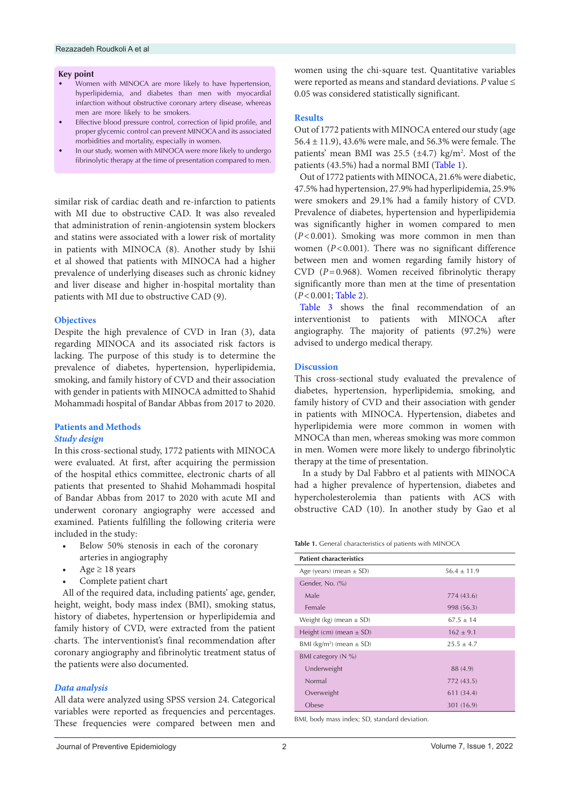#### **Key point**

- Women with MINOCA are more likely to have hypertension, hyperlipidemia, and diabetes than men with myocardial infarction without obstructive coronary artery disease, whereas men are more likely to be smokers.
- Effective blood pressure control, correction of lipid profile, and proper glycemic control can prevent MINOCA and its associated morbidities and mortality, especially in women.
- In our study, women with MINOCA were more likely to undergo fibrinolytic therapy at the time of presentation compared to men.

similar risk of cardiac death and re-infarction to patients with MI due to obstructive CAD. It was also revealed that administration of renin‐angiotensin system blockers and statins were associated with a lower risk of mortality in patients with MINOCA (8). Another study by Ishii et al showed that patients with MINOCA had a higher prevalence of underlying diseases such as chronic kidney and liver disease and higher in-hospital mortality than patients with MI due to obstructive CAD (9).

# **Objectives**

Despite the high prevalence of CVD in Iran (3), data regarding MINOCA and its associated risk factors is lacking. The purpose of this study is to determine the prevalence of diabetes, hypertension, hyperlipidemia, smoking, and family history of CVD and their association with gender in patients with MINOCA admitted to Shahid Mohammadi hospital of Bandar Abbas from 2017 to 2020.

# **Patients and Methods**

# *Study design*

In this cross-sectional study, 1772 patients with MINOCA were evaluated. At first, after acquiring the permission of the hospital ethics committee, electronic charts of all patients that presented to Shahid Mohammadi hospital of Bandar Abbas from 2017 to 2020 with acute MI and underwent coronary angiography were accessed and examined. Patients fulfilling the following criteria were included in the study:

- Below 50% stenosis in each of the coronary arteries in angiography
- Age  $\geq$  18 years
- Complete patient chart

All of the required data, including patients' age, gender, height, weight, body mass index (BMI), smoking status, history of diabetes, hypertension or hyperlipidemia and family history of CVD, were extracted from the patient charts. The interventionist's final recommendation after coronary angiography and fibrinolytic treatment status of the patients were also documented.

# *Data analysis*

All data were analyzed using SPSS version 24. Categorical variables were reported as frequencies and percentages. These frequencies were compared between men and women using the chi-square test. Quantitative variables were reported as means and standard deviations. *P* value ≤ 0.05 was considered statistically significant.

#### **Results**

Out of 1772 patients with MINOCA entered our study (age 56.4 ± 11.9), 43.6% were male, and 56.3% were female. The patients' mean BMI was  $25.5 \ (\pm 4.7) \ \text{kg/m}^2$ . Most of the patients (43.5%) had a normal BMI [\(Table 1\)](#page-1-0).

Out of 1772 patients with MINOCA, 21.6% were diabetic, 47.5% had hypertension, 27.9% had hyperlipidemia, 25.9% were smokers and 29.1% had a family history of CVD. Prevalence of diabetes, hypertension and hyperlipidemia was significantly higher in women compared to men (*P*<0.001). Smoking was more common in men than women  $(P<0.001)$ . There was no significant difference between men and women regarding family history of CVD (*P*=0.968). Women received fibrinolytic therapy significantly more than men at the time of presentation (*P*<0.001; [Table](#page-2-0) 2).

[Table](#page-2-1) 3 shows the final recommendation of an interventionist to patients with MINOCA after angiography. The majority of patients (97.2%) were advised to undergo medical therapy.

### **Discussion**

This cross-sectional study evaluated the prevalence of diabetes, hypertension, hyperlipidemia, smoking, and family history of CVD and their association with gender in patients with MINOCA. Hypertension, diabetes and hyperlipidemia were more common in women with MNOCA than men, whereas smoking was more common in men. Women were more likely to undergo fibrinolytic therapy at the time of presentation.

In a study by Dal Fabbro et al patients with MINOCA had a higher prevalence of hypertension, diabetes and hypercholesterolemia than patients with ACS with obstructive CAD (10). In another study by Gao et al

<span id="page-1-0"></span>**Table 1.** General characteristics of patients with MINOCA

| <b>Patient characteristics</b>           |                 |
|------------------------------------------|-----------------|
| Age (years) (mean $\pm$ SD)              | $56.4 \pm 11.9$ |
| Gender, No. (%)                          |                 |
| Male                                     | 774 (43.6)      |
| Female                                   | 998 (56.3)      |
| Weight (kg) (mean $\pm$ SD)              | $67.5 \pm 14$   |
| Height (cm) (mean $\pm$ SD)              | $162 + 9.1$     |
| BMI (kg/m <sup>2</sup> ) (mean $\pm$ SD) | $25.5 + 4.7$    |
| BMI category $(N \%)$                    |                 |
| Underweight                              | 88 (4.9)        |
| Normal                                   | 772 (43.5)      |
| Overweight                               | 611 (34.4)      |
| Obese                                    | 301 (16.9)      |

BMI, body mass index; SD, standard deviation.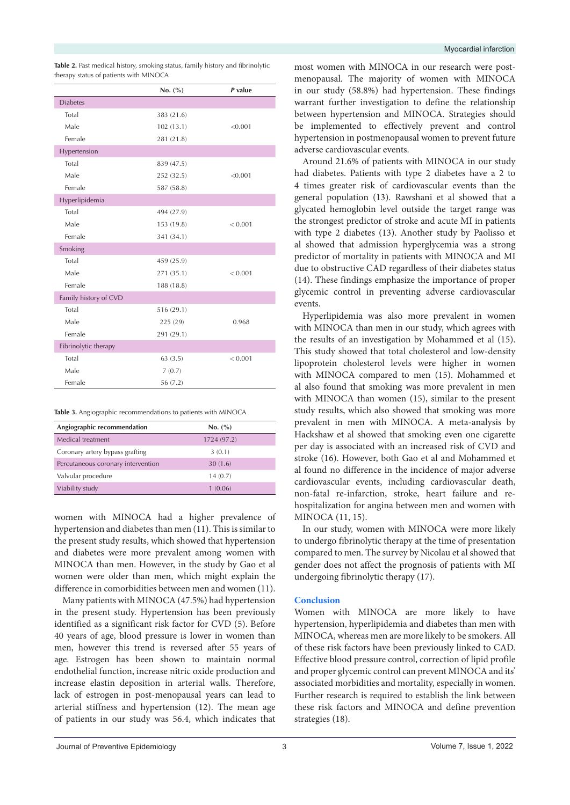|                       | No. $(\% )$ | P value |
|-----------------------|-------------|---------|
| <b>Diabetes</b>       |             |         |
| Total                 | 383 (21.6)  |         |
| Male                  | 102(13.1)   | < 0.001 |
| Female                | 281 (21.8)  |         |
| Hypertension          |             |         |
| Total                 | 839 (47.5)  |         |
| Male                  | 252 (32.5)  | < 0.001 |
| Female                | 587 (58.8)  |         |
| Hyperlipidemia        |             |         |
| Total                 | 494 (27.9)  |         |
| Male                  | 153 (19.8)  | < 0.001 |
| Female                | 341 (34.1)  |         |
| Smoking               |             |         |
| Total                 | 459 (25.9)  |         |
| Male                  | 271 (35.1)  | < 0.001 |
| Female                | 188 (18.8)  |         |
| Family history of CVD |             |         |
| Total                 | 516 (29.1)  |         |
| Male                  | 225 (29)    | 0.968   |
| Female                | 291 (29.1)  |         |
| Fibrinolytic therapy  |             |         |
| Total                 | 63(3.5)     | < 0.001 |
| Male                  | 7(0.7)      |         |
| Female                | 56 (7.2)    |         |

<span id="page-2-0"></span>**Table 2.** Past medical history, smoking status, family history and fibrinolytic therapy status of patients with MINOCA

<span id="page-2-1"></span>**Table 3.** Angiographic recommendations to patients with MINOCA

| Angiographic recommendation        | No. (%)     |
|------------------------------------|-------------|
| Medical treatment                  | 1724 (97.2) |
| Coronary artery bypass grafting    | 3(0.1)      |
| Percutaneous coronary intervention | 30(1.6)     |
| Valvular procedure                 | 14(0.7)     |
| Viability study                    | 1(0.06)     |

women with MINOCA had a higher prevalence of hypertension and diabetes than men (11). This is similar to the present study results, which showed that hypertension and diabetes were more prevalent among women with MINOCA than men. However, in the study by Gao et al women were older than men, which might explain the difference in comorbidities between men and women (11).

Many patients with MINOCA (47.5%) had hypertension in the present study. Hypertension has been previously identified as a significant risk factor for CVD (5). Before 40 years of age, blood pressure is lower in women than men, however this trend is reversed after 55 years of age. Estrogen has been shown to maintain normal endothelial function, increase nitric oxide production and increase elastin deposition in arterial walls. Therefore, lack of estrogen in post-menopausal years can lead to arterial stiffness and hypertension (12). The mean age of patients in our study was 56.4, which indicates that

most women with MINOCA in our research were postmenopausal. The majority of women with MINOCA in our study (58.8%) had hypertension. These findings warrant further investigation to define the relationship between hypertension and MINOCA. Strategies should be implemented to effectively prevent and control hypertension in postmenopausal women to prevent future adverse cardiovascular events.

Around 21.6% of patients with MINOCA in our study had diabetes. Patients with type 2 diabetes have a 2 to 4 times greater risk of cardiovascular events than the general population (13). Rawshani et al showed that a glycated hemoglobin level outside the target range was the strongest predictor of stroke and acute MI in patients with type 2 diabetes (13). Another study by Paolisso et al showed that admission hyperglycemia was a strong predictor of mortality in patients with MINOCA and MI due to obstructive CAD regardless of their diabetes status (14). These findings emphasize the importance of proper glycemic control in preventing adverse cardiovascular events.

Hyperlipidemia was also more prevalent in women with MINOCA than men in our study, which agrees with the results of an investigation by Mohammed et al (15). This study showed that total cholesterol and low-density lipoprotein cholesterol levels were higher in women with MINOCA compared to men (15). Mohammed et al also found that smoking was more prevalent in men with MINOCA than women (15), similar to the present study results, which also showed that smoking was more prevalent in men with MINOCA. A meta-analysis by Hackshaw et al showed that smoking even one cigarette per day is associated with an increased risk of CVD and stroke (16). However, both Gao et al and Mohammed et al found no difference in the incidence of major adverse cardiovascular events, including cardiovascular death, non-fatal re-infarction, stroke, heart failure and rehospitalization for angina between men and women with MINOCA (11, 15).

In our study, women with MINOCA were more likely to undergo fibrinolytic therapy at the time of presentation compared to men. The survey by Nicolau et al showed that gender does not affect the prognosis of patients with MI undergoing fibrinolytic therapy (17).

# **Conclusion**

Women with MINOCA are more likely to have hypertension, hyperlipidemia and diabetes than men with MINOCA, whereas men are more likely to be smokers. All of these risk factors have been previously linked to CAD. Effective blood pressure control, correction of lipid profile and proper glycemic control can prevent MINOCA and its' associated morbidities and mortality, especially in women. Further research is required to establish the link between these risk factors and MINOCA and define prevention strategies (18).